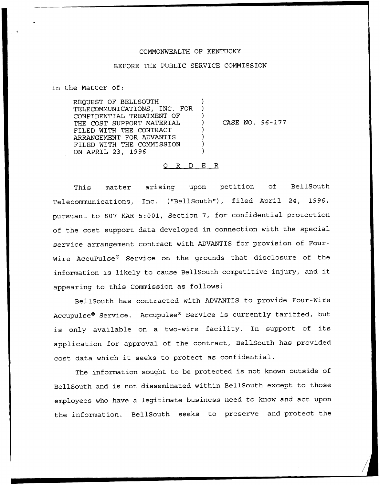## COMMONWEALTH OF KENTUCKY

## BEFORE THE PUBLIC SERVICE COMMISSION

In the Matter of:

REQUEST OF BELLSOUTH TELECOMMUNICATIONS, INC. FOR CONFIDENTIAL TREATMENT OF THE COST SUPPORT MATERIAL FILED WITH THE CONTRACT ARRANGEMENT FOR ADVANTIS FILED WITH THE COMMISSION ON APRIL 23, 1996 ) ) ) ) CASE NO. 96-177 ) ) ) )

## 0 R <sup>D</sup> E R

This matter arising upon petition of BellSouth Telecommunications, Inc. {"BellSouth"), filed April 24, 1996, pursuant to 807 KAR 5:001, Section 7, for confidential protection of the cost support data developed in connection with the special service arrangement contract with ADVANTIS for provision of Four-Wire AccuPulse® Service on the grounds that disclosure of the information is likely to cause BellSouth competitive injury, and it appearing to this Commission as follows:

BellSouth has contracted with ADVANTIS to provide Four-Wire Accupulse® Service. Accupulse® Service is currently tariffed, but is only available on <sup>a</sup> two-wire facility. In support of its application for approval of the contract, BellSouth has provided cost data which it seeks to protect as confidential.

The information sought to be protected is not known outside of BellSouth and is not disseminated within BellSouth except to those employees who have <sup>a</sup> legitimate business need to know and act upon the information. BellSouth seeks to preserve and protect the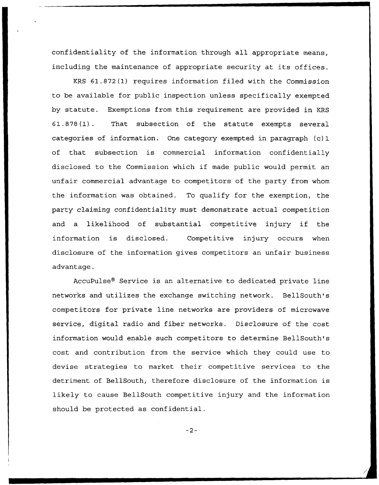confidentiality of the information through all appropriate means, including the maintenance of appropriate security at its offices.

KRS 61.872(1) requires information filed with the Commission to be available for public inspection unless specifically exempted by statute. Exemptions from this requirement are provided in KRS 61.878(1). That subsection of the statute exempts several categories of information. One category exempted in paragraph (c) 1 of that subsection is commercial information confidentially disclosed to the Commission which if made public would permit an unfair commercial advantage to competitors of the party from whom the information was obtained. To qualify for the exemption, the party claiming confidentiality must demonstrate actual competition and <sup>a</sup> likelihood of substantial competitive injury if the information is disclosed. Competitive injury occurs when disclosure of the information gives competitors an unfair business advantage.

AccuPulse® Service is an alternative to dedicated private line networks and utilizes the exchange switching network. BellSouth's competitors for private line networks are providers of microwave service, digital radio and fiber networks, Disclosure of the cost information would enable such competitors to determine BellSouth's cost and contribution from the service which they could use to devise strategies to market their competitive services to the detriment of BellSouth, therefore disclosure of the information is likely to cause BellSouth competitive injury and the information should be protected as confidential.

 $-2-$